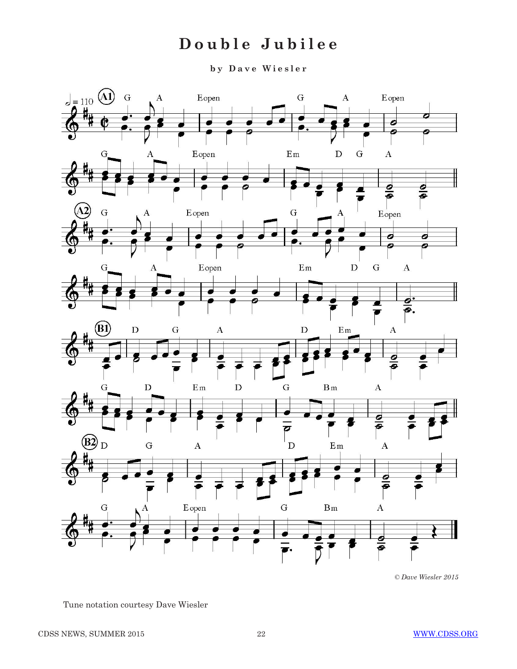# **Double Jubilee**

**b y D a v e W i e s l e r** 



*<sup>©</sup> Dave Wiesler 2015*

Tune notation courtesy Dave Wiesler